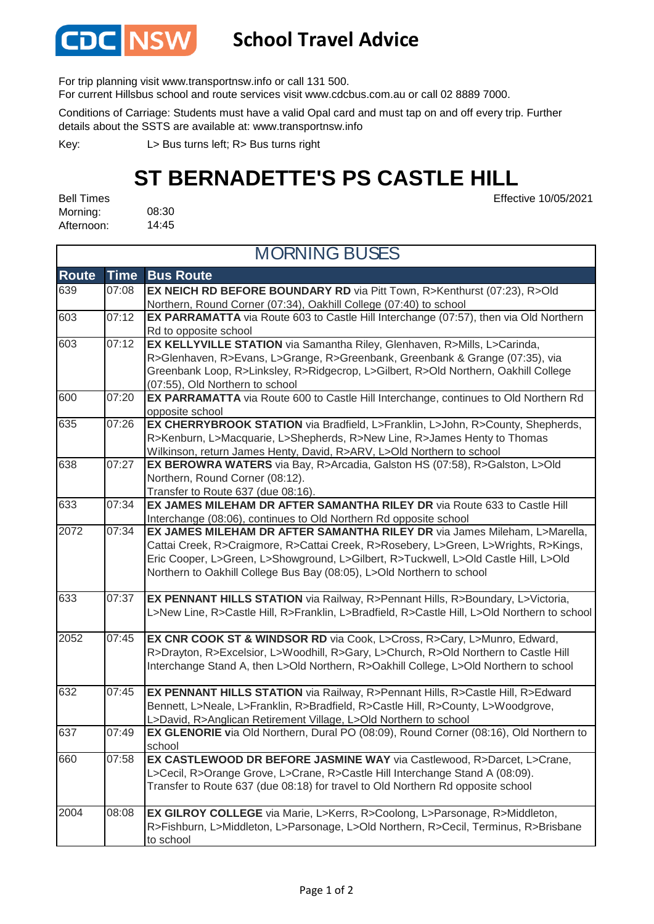

## **School Travel Advice**

For trip planning visit www.transportnsw.info or call 131 500.

For current Hillsbus school and route services visit www.cdcbus.com.au or call 02 8889 7000.

Conditions of Carriage: Students must have a valid Opal card and must tap on and off every trip. Further details about the SSTS are available at: www.transportnsw.info

L> Bus turns left; R> Bus turns right Key:

## **ST BERNADETTE'S PS CASTLE HILL**

Effective 10/05/2021

08:30 14:45 Bell Times Morning: Afternoon:

| <b>MORNING BUSES</b> |             |                                                                                                                                                     |
|----------------------|-------------|-----------------------------------------------------------------------------------------------------------------------------------------------------|
| <b>Route</b>         | <b>Time</b> | <b>Bus Route</b>                                                                                                                                    |
| 639                  | 07:08       | EX NEICH RD BEFORE BOUNDARY RD via Pitt Town, R>Kenthurst (07:23), R>Old                                                                            |
|                      |             | Northern, Round Corner (07:34), Oakhill College (07:40) to school                                                                                   |
| 603                  | 07:12       | EX PARRAMATTA via Route 603 to Castle Hill Interchange (07:57), then via Old Northern                                                               |
|                      |             | Rd to opposite school                                                                                                                               |
| 603                  | 07:12       | EX KELLYVILLE STATION via Samantha Riley, Glenhaven, R>Mills, L>Carinda,                                                                            |
|                      |             | R>Glenhaven, R>Evans, L>Grange, R>Greenbank, Greenbank & Grange (07:35), via                                                                        |
|                      |             | Greenbank Loop, R>Linksley, R>Ridgecrop, L>Gilbert, R>Old Northern, Oakhill College                                                                 |
|                      |             | (07:55), Old Northern to school                                                                                                                     |
| 600                  | 07:20       | EX PARRAMATTA via Route 600 to Castle Hill Interchange, continues to Old Northern Rd                                                                |
|                      |             | opposite school                                                                                                                                     |
| 635                  | 07:26       | EX CHERRYBROOK STATION via Bradfield, L>Franklin, L>John, R>County, Shepherds,                                                                      |
|                      |             | R>Kenburn, L>Macquarie, L>Shepherds, R>New Line, R>James Henty to Thomas                                                                            |
| 638                  | 07:27       | Wilkinson, return James Henty, David, R>ARV, L>Old Northern to school<br>EX BEROWRA WATERS via Bay, R>Arcadia, Galston HS (07:58), R>Galston, L>Old |
|                      |             | Northern, Round Corner (08:12).                                                                                                                     |
|                      |             | Transfer to Route 637 (due 08:16).                                                                                                                  |
| 633                  | 07:34       | EX JAMES MILEHAM DR AFTER SAMANTHA RILEY DR via Route 633 to Castle Hill                                                                            |
|                      |             | Interchange (08:06), continues to Old Northern Rd opposite school                                                                                   |
| 2072                 | 07:34       | EX JAMES MILEHAM DR AFTER SAMANTHA RILEY DR via James Mileham, L>Marella,                                                                           |
|                      |             | Cattai Creek, R>Craigmore, R>Cattai Creek, R>Rosebery, L>Green, L>Wrights, R>Kings,                                                                 |
|                      |             | Eric Cooper, L>Green, L>Showground, L>Gilbert, R>Tuckwell, L>Old Castle Hill, L>Old                                                                 |
|                      |             | Northern to Oakhill College Bus Bay (08:05), L>Old Northern to school                                                                               |
| 633                  | 07:37       | EX PENNANT HILLS STATION via Railway, R>Pennant Hills, R>Boundary, L>Victoria,                                                                      |
|                      |             | L>New Line, R>Castle Hill, R>Franklin, L>Bradfield, R>Castle Hill, L>Old Northern to school                                                         |
| 2052                 | 07:45       | EX CNR COOK ST & WINDSOR RD via Cook, L>Cross, R>Cary, L>Munro, Edward,                                                                             |
|                      |             | R>Drayton, R>Excelsior, L>Woodhill, R>Gary, L>Church, R>Old Northern to Castle Hill                                                                 |
|                      |             | Interchange Stand A, then L>Old Northern, R>Oakhill College, L>Old Northern to school                                                               |
| 632                  | 07:45       | EX PENNANT HILLS STATION via Railway, R>Pennant Hills, R>Castle Hill, R>Edward                                                                      |
|                      |             | Bennett, L>Neale, L>Franklin, R>Bradfield, R>Castle Hill, R>County, L>Woodgrove,                                                                    |
|                      |             | L>David, R>Anglican Retirement Village, L>Old Northern to school                                                                                    |
| 637                  | 07:49       | EX GLENORIE via Old Northern, Dural PO (08:09), Round Corner (08:16), Old Northern to                                                               |
|                      |             | school                                                                                                                                              |
| 660                  | 07:58       | EX CASTLEWOOD DR BEFORE JASMINE WAY via Castlewood, R>Darcet, L>Crane,                                                                              |
|                      |             | L>Cecil, R>Orange Grove, L>Crane, R>Castle Hill Interchange Stand A (08:09).                                                                        |
|                      |             | Transfer to Route 637 (due 08:18) for travel to Old Northern Rd opposite school                                                                     |
| 2004                 | 08:08       | EX GILROY COLLEGE via Marie, L>Kerrs, R>Coolong, L>Parsonage, R>Middleton,                                                                          |
|                      |             | R>Fishburn, L>Middleton, L>Parsonage, L>Old Northern, R>Cecil, Terminus, R>Brisbane                                                                 |
|                      |             | to school                                                                                                                                           |